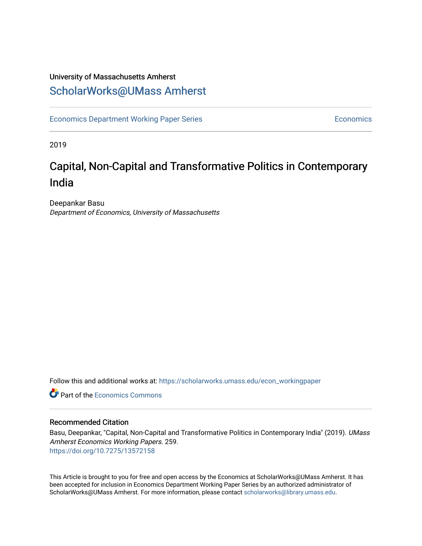## University of Massachusetts Amherst [ScholarWorks@UMass Amherst](https://scholarworks.umass.edu/)

[Economics Department Working Paper Series](https://scholarworks.umass.edu/econ_workingpaper) **Economics** Economics

2019

# Capital, Non-Capital and Transformative Politics in Contemporary India

Deepankar Basu Department of Economics, University of Massachusetts

Follow this and additional works at: [https://scholarworks.umass.edu/econ\\_workingpaper](https://scholarworks.umass.edu/econ_workingpaper?utm_source=scholarworks.umass.edu%2Fecon_workingpaper%2F259&utm_medium=PDF&utm_campaign=PDFCoverPages) 

**C** Part of the [Economics Commons](http://network.bepress.com/hgg/discipline/340?utm_source=scholarworks.umass.edu%2Fecon_workingpaper%2F259&utm_medium=PDF&utm_campaign=PDFCoverPages)

#### Recommended Citation

Basu, Deepankar, "Capital, Non-Capital and Transformative Politics in Contemporary India" (2019). UMass Amherst Economics Working Papers. 259. <https://doi.org/10.7275/13572158>

This Article is brought to you for free and open access by the Economics at ScholarWorks@UMass Amherst. It has been accepted for inclusion in Economics Department Working Paper Series by an authorized administrator of ScholarWorks@UMass Amherst. For more information, please contact [scholarworks@library.umass.edu.](mailto:scholarworks@library.umass.edu)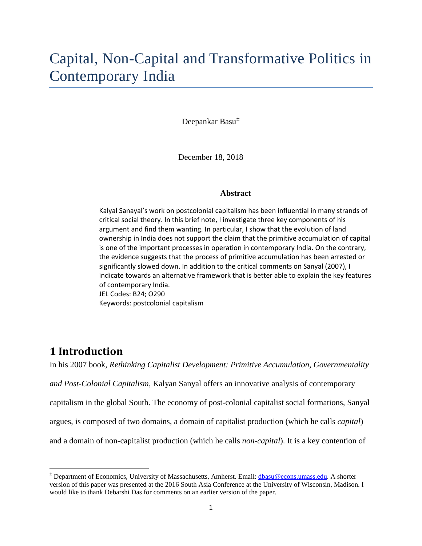# Capital, Non-Capital and Transformative Politics in Contemporary India

Deepankar Basu<sup>[±](#page-1-0)</sup>

December 18, 2018

#### **Abstract**

Kalyal Sanayal's work on postcolonial capitalism has been influential in many strands of critical social theory. In this brief note, I investigate three key components of his argument and find them wanting. In particular, I show that the evolution of land ownership in India does not support the claim that the primitive accumulation of capital is one of the important processes in operation in contemporary India. On the contrary, the evidence suggests that the process of primitive accumulation has been arrested or significantly slowed down. In addition to the critical comments on Sanyal (2007), I indicate towards an alternative framework that is better able to explain the key features of contemporary India. JEL Codes: B24; O290 Keywords: postcolonial capitalism

## **1 Introduction**

 $\overline{\phantom{a}}$ 

In his 2007 book, *Rethinking Capitalist Development: Primitive Accumulation, Governmentality and Post-Colonial Capitalism*, Kalyan Sanyal offers an innovative analysis of contemporary capitalism in the global South. The economy of post-colonial capitalist social formations, Sanyal argues, is composed of two domains, a domain of capitalist production (which he calls *capital*) and a domain of non-capitalist production (which he calls *non-capital*). It is a key contention of

<span id="page-1-0"></span><sup>±</sup> Department of Economics, University of Massachusetts, Amherst. Email: [dbasu@econs.umass.edu.](mailto:dbasu@econs.umass.edu) A shorter version of this paper was presented at the 2016 South Asia Conference at the University of Wisconsin, Madison. I would like to thank Debarshi Das for comments on an earlier version of the paper.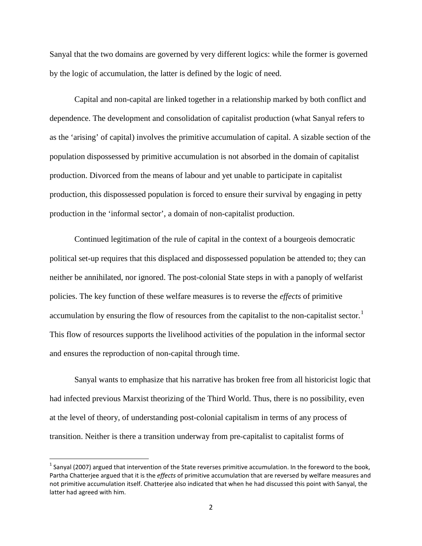Sanyal that the two domains are governed by very different logics: while the former is governed by the logic of accumulation, the latter is defined by the logic of need.

Capital and non-capital are linked together in a relationship marked by both conflict and dependence. The development and consolidation of capitalist production (what Sanyal refers to as the 'arising' of capital) involves the primitive accumulation of capital. A sizable section of the population dispossessed by primitive accumulation is not absorbed in the domain of capitalist production. Divorced from the means of labour and yet unable to participate in capitalist production, this dispossessed population is forced to ensure their survival by engaging in petty production in the 'informal sector', a domain of non-capitalist production.

Continued legitimation of the rule of capital in the context of a bourgeois democratic political set-up requires that this displaced and dispossessed population be attended to; they can neither be annihilated, nor ignored. The post-colonial State steps in with a panoply of welfarist policies. The key function of these welfare measures is to reverse the *effects* of primitive accumulation by ensuring the flow of resources from the capitalist to the non-capitalist sector.<sup>[1](#page-2-0)</sup> This flow of resources supports the livelihood activities of the population in the informal sector and ensures the reproduction of non-capital through time.

Sanyal wants to emphasize that his narrative has broken free from all historicist logic that had infected previous Marxist theorizing of the Third World. Thus, there is no possibility, even at the level of theory, of understanding post-colonial capitalism in terms of any process of transition. Neither is there a transition underway from pre-capitalist to capitalist forms of

<span id="page-2-0"></span> $1$  Sanyal (2007) argued that intervention of the State reverses primitive accumulation. In the foreword to the book, Partha Chatterjee argued that it is the *effects* of primitive accumulation that are reversed by welfare measures and not primitive accumulation itself. Chatterjee also indicated that when he had discussed this point with Sanyal, the latter had agreed with him.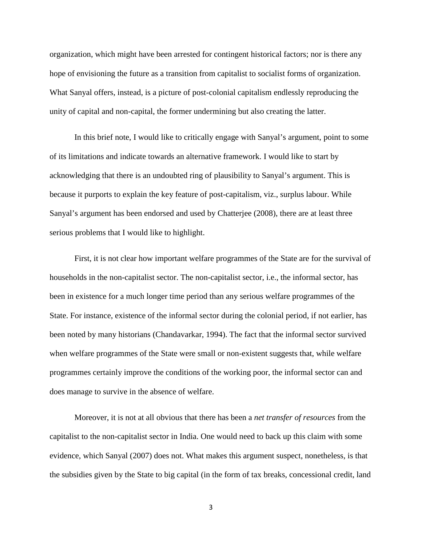organization, which might have been arrested for contingent historical factors; nor is there any hope of envisioning the future as a transition from capitalist to socialist forms of organization. What Sanyal offers, instead, is a picture of post-colonial capitalism endlessly reproducing the unity of capital and non-capital, the former undermining but also creating the latter.

In this brief note, I would like to critically engage with Sanyal's argument, point to some of its limitations and indicate towards an alternative framework. I would like to start by acknowledging that there is an undoubted ring of plausibility to Sanyal's argument. This is because it purports to explain the key feature of post-capitalism, viz., surplus labour. While Sanyal's argument has been endorsed and used by Chatterjee (2008), there are at least three serious problems that I would like to highlight.

First, it is not clear how important welfare programmes of the State are for the survival of households in the non-capitalist sector. The non-capitalist sector, i.e., the informal sector, has been in existence for a much longer time period than any serious welfare programmes of the State. For instance, existence of the informal sector during the colonial period, if not earlier, has been noted by many historians (Chandavarkar, 1994). The fact that the informal sector survived when welfare programmes of the State were small or non-existent suggests that, while welfare programmes certainly improve the conditions of the working poor, the informal sector can and does manage to survive in the absence of welfare.

Moreover, it is not at all obvious that there has been a *net transfer of resources* from the capitalist to the non-capitalist sector in India. One would need to back up this claim with some evidence, which Sanyal (2007) does not. What makes this argument suspect, nonetheless, is that the subsidies given by the State to big capital (in the form of tax breaks, concessional credit, land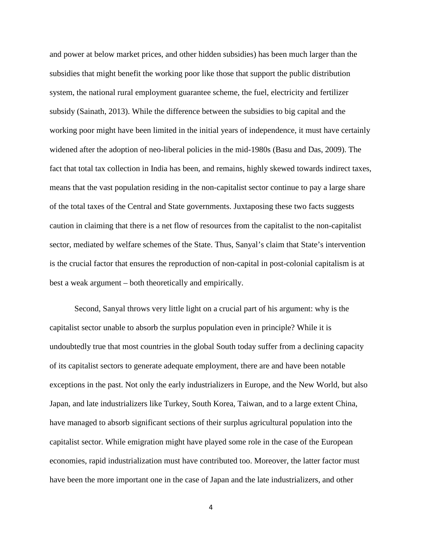and power at below market prices, and other hidden subsidies) has been much larger than the subsidies that might benefit the working poor like those that support the public distribution system, the national rural employment guarantee scheme, the fuel, electricity and fertilizer subsidy (Sainath, 2013). While the difference between the subsidies to big capital and the working poor might have been limited in the initial years of independence, it must have certainly widened after the adoption of neo-liberal policies in the mid-1980s (Basu and Das, 2009). The fact that total tax collection in India has been, and remains, highly skewed towards indirect taxes, means that the vast population residing in the non-capitalist sector continue to pay a large share of the total taxes of the Central and State governments. Juxtaposing these two facts suggests caution in claiming that there is a net flow of resources from the capitalist to the non-capitalist sector, mediated by welfare schemes of the State. Thus, Sanyal's claim that State's intervention is the crucial factor that ensures the reproduction of non-capital in post-colonial capitalism is at best a weak argument – both theoretically and empirically.

Second, Sanyal throws very little light on a crucial part of his argument: why is the capitalist sector unable to absorb the surplus population even in principle? While it is undoubtedly true that most countries in the global South today suffer from a declining capacity of its capitalist sectors to generate adequate employment, there are and have been notable exceptions in the past. Not only the early industrializers in Europe, and the New World, but also Japan, and late industrializers like Turkey, South Korea, Taiwan, and to a large extent China, have managed to absorb significant sections of their surplus agricultural population into the capitalist sector. While emigration might have played some role in the case of the European economies, rapid industrialization must have contributed too. Moreover, the latter factor must have been the more important one in the case of Japan and the late industrializers, and other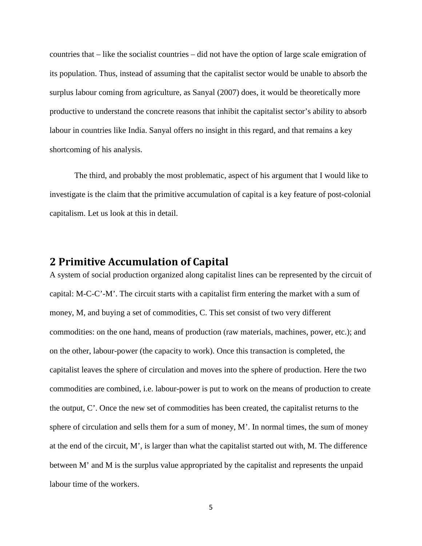countries that – like the socialist countries – did not have the option of large scale emigration of its population. Thus, instead of assuming that the capitalist sector would be unable to absorb the surplus labour coming from agriculture, as Sanyal (2007) does, it would be theoretically more productive to understand the concrete reasons that inhibit the capitalist sector's ability to absorb labour in countries like India. Sanyal offers no insight in this regard, and that remains a key shortcoming of his analysis.

The third, and probably the most problematic, aspect of his argument that I would like to investigate is the claim that the primitive accumulation of capital is a key feature of post-colonial capitalism. Let us look at this in detail.

## **2 Primitive Accumulation of Capital**

A system of social production organized along capitalist lines can be represented by the circuit of capital: M-C-C'-M'. The circuit starts with a capitalist firm entering the market with a sum of money, M, and buying a set of commodities, C. This set consist of two very different commodities: on the one hand, means of production (raw materials, machines, power, etc.); and on the other, labour-power (the capacity to work). Once this transaction is completed, the capitalist leaves the sphere of circulation and moves into the sphere of production. Here the two commodities are combined, i.e. labour-power is put to work on the means of production to create the output, C'. Once the new set of commodities has been created, the capitalist returns to the sphere of circulation and sells them for a sum of money, M'. In normal times, the sum of money at the end of the circuit, M', is larger than what the capitalist started out with, M. The difference between M' and M is the surplus value appropriated by the capitalist and represents the unpaid labour time of the workers.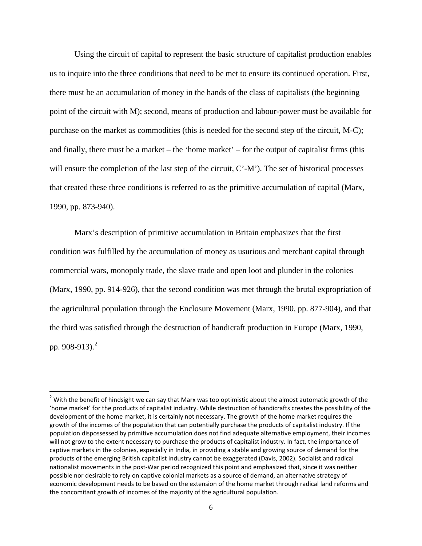Using the circuit of capital to represent the basic structure of capitalist production enables us to inquire into the three conditions that need to be met to ensure its continued operation. First, there must be an accumulation of money in the hands of the class of capitalists (the beginning point of the circuit with M); second, means of production and labour-power must be available for purchase on the market as commodities (this is needed for the second step of the circuit, M-C); and finally, there must be a market – the 'home market' – for the output of capitalist firms (this will ensure the completion of the last step of the circuit, C'-M'). The set of historical processes that created these three conditions is referred to as the primitive accumulation of capital (Marx, 1990, pp. 873-940).

Marx's description of primitive accumulation in Britain emphasizes that the first condition was fulfilled by the accumulation of money as usurious and merchant capital through commercial wars, monopoly trade, the slave trade and open loot and plunder in the colonies (Marx, 1990, pp. 914-926), that the second condition was met through the brutal expropriation of the agricultural population through the Enclosure Movement (Marx, 1990, pp. 877-904), and that the third was satisfied through the destruction of handicraft production in Europe (Marx, 1990, pp. 908-913).<sup>[2](#page-6-0)</sup>

<span id="page-6-0"></span> $2$  With the benefit of hindsight we can say that Marx was too optimistic about the almost automatic growth of the 'home market' for the products of capitalist industry. While destruction of handicrafts creates the possibility of the development of the home market, it is certainly not necessary. The growth of the home market requires the growth of the incomes of the population that can potentially purchase the products of capitalist industry. If the population dispossessed by primitive accumulation does not find adequate alternative employment, their incomes will not grow to the extent necessary to purchase the products of capitalist industry. In fact, the importance of captive markets in the colonies, especially in India, in providing a stable and growing source of demand for the products of the emerging British capitalist industry cannot be exaggerated (Davis, 2002). Socialist and radical nationalist movements in the post-War period recognized this point and emphasized that, since it was neither possible nor desirable to rely on captive colonial markets as a source of demand, an alternative strategy of economic development needs to be based on the extension of the home market through radical land reforms and the concomitant growth of incomes of the majority of the agricultural population.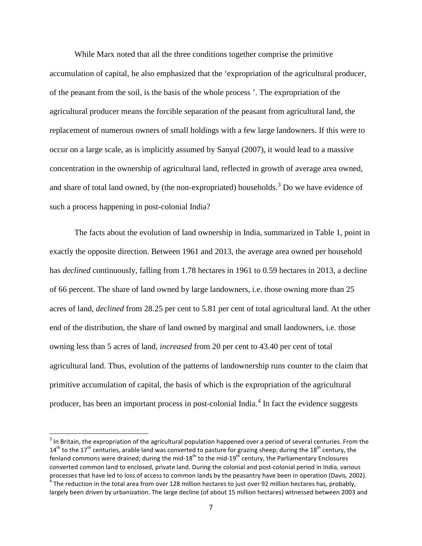While Marx noted that all the three conditions together comprise the primitive accumulation of capital, he also emphasized that the 'expropriation of the agricultural producer, of the peasant from the soil, is the basis of the whole process '. The expropriation of the agricultural producer means the forcible separation of the peasant from agricultural land, the replacement of numerous owners of small holdings with a few large landowners. If this were to occur on a large scale, as is implicitly assumed by Sanyal (2007), it would lead to a massive concentration in the ownership of agricultural land, reflected in growth of average area owned, and share of total land owned, by (the non-expropriated) households.<sup>[3](#page-7-0)</sup> Do we have evidence of such a process happening in post-colonial India?

The facts about the evolution of land ownership in India, summarized in Table 1, point in exactly the opposite direction. Between 1961 and 2013, the average area owned per household has *declined* continuously, falling from 1.78 hectares in 1961 to 0.59 hectares in 2013, a decline of 66 percent. The share of land owned by large landowners, i.e. those owning more than 25 acres of land, *declined* from 28.25 per cent to 5.81 per cent of total agricultural land. At the other end of the distribution, the share of land owned by marginal and small landowners, i.e. those owning less than 5 acres of land, *increased* from 20 per cent to 43.40 per cent of total agricultural land. Thus, evolution of the patterns of landownership runs counter to the claim that primitive accumulation of capital, the basis of which is the expropriation of the agricultural producer, has been an important process in post-colonial India. $4\ \text{In fact the evidence suggests}$  $4\ \text{In fact the evidence suggests}$ 

<span id="page-7-0"></span> $3$  In Britain, the expropriation of the agricultural population happened over a period of several centuries. From the  $14<sup>th</sup>$  to the  $17<sup>th</sup>$  centuries, arable land was converted to pasture for grazing sheep; during the  $18<sup>th</sup>$  century, the fenland commons were drained; during the mid-18<sup>th</sup> to the mid-19<sup>th</sup> century, the Parliamentary Enclosures converted common land to enclosed, private land. During the colonial and post-colonial period in India, various processes that have led to loss of access to common lands by the peasantry have been in operation (Davis, 2002).  $^4$  The reduction in the total area from over 128 million hectares to just over 92 million hectares has, probably,

<span id="page-7-1"></span>largely been driven by urbanization. The large decline (of about 15 million hectares) witnessed between 2003 and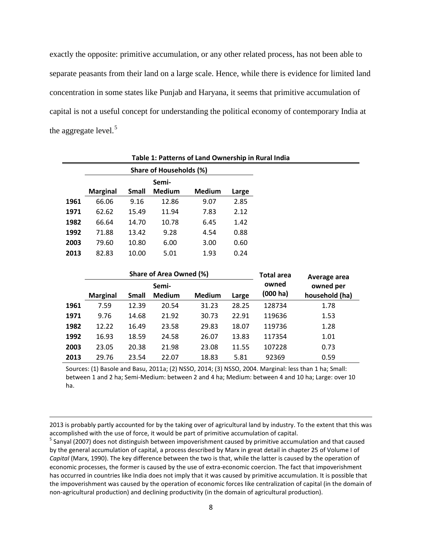exactly the opposite: primitive accumulation, or any other related process, has not been able to separate peasants from their land on a large scale. Hence, while there is evidence for limited land concentration in some states like Punjab and Haryana, it seems that primitive accumulation of capital is not a useful concept for understanding the political economy of contemporary India at the aggregate level. $5$ 

|      | Share of Households (%) |       |               |        |       |  |  |  |  |  |
|------|-------------------------|-------|---------------|--------|-------|--|--|--|--|--|
|      | Semi-                   |       |               |        |       |  |  |  |  |  |
|      | <b>Marginal</b>         | Small | <b>Medium</b> | Medium | Large |  |  |  |  |  |
| 1961 | 66.06                   | 9.16  | 12.86         | 9.07   | 2.85  |  |  |  |  |  |
| 1971 | 62.62                   | 15.49 | 11.94         | 7.83   | 2.12  |  |  |  |  |  |
| 1982 | 66.64                   | 14.70 | 10.78         | 6.45   | 1.42  |  |  |  |  |  |
| 1992 | 71.88                   | 13.42 | 9.28          | 4.54   | 0.88  |  |  |  |  |  |
| 2003 | 79.60                   | 10.80 | 6.00          | 3.00   | 0.60  |  |  |  |  |  |
| 2013 | 82.83                   | 10.00 | 5.01          | 1.93   | 0.24  |  |  |  |  |  |

 $\overline{\phantom{a}}$ 

**Table 1: Patterns of Land Ownership in Rural India**

|      |                 |              | Share of Area Owned (%) | Total area    | Average area |                   |                             |  |
|------|-----------------|--------------|-------------------------|---------------|--------------|-------------------|-----------------------------|--|
|      | <b>Marginal</b> | <b>Small</b> | Semi-<br><b>Medium</b>  | <b>Medium</b> | Large        | owned<br>(000 ha) | owned per<br>household (ha) |  |
| 1961 | 7.59            | 12.39        | 20.54                   | 31.23         | 28.25        | 128734            | 1.78                        |  |
| 1971 | 9.76            | 14.68        | 21.92                   | 30.73         | 22.91        | 119636            | 1.53                        |  |
| 1982 | 12.22           | 16.49        | 23.58                   | 29.83         | 18.07        | 119736            | 1.28                        |  |
| 1992 | 16.93           | 18.59        | 24.58                   | 26.07         | 13.83        | 117354            | 1.01                        |  |
| 2003 | 23.05           | 20.38        | 21.98                   | 23.08         | 11.55        | 107228            | 0.73                        |  |
| 2013 | 29.76           | 23.54        | 22.07                   | 18.83         | 5.81         | 92369             | 0.59                        |  |

Sources: (1) Basole and Basu, 2011a; (2) NSSO, 2014; (3) NSSO, 2004. Marginal: less than 1 ha; Small: between 1 and 2 ha; Semi-Medium: between 2 and 4 ha; Medium: between 4 and 10 ha; Large: over 10 ha.

2013 is probably partly accounted for by the taking over of agricultural land by industry. To the extent that this was accomplished with the use of force, it would be part of primitive accumulation of capital.<br><sup>5</sup> Sanyal (2007) does not distinguish between impoverishment caused by primitive accumulation and that caused

<span id="page-8-0"></span>by the general accumulation of capital, a process described by Marx in great detail in chapter 25 of Volume I of *Capital* (Marx, 1990). The key difference between the two is that, while the latter is caused by the operation of economic processes, the former is caused by the use of extra-economic coercion. The fact that impoverishment has occurred in countries like India does not imply that it was caused by primitive accumulation. It is possible that the impoverishment was caused by the operation of economic forces like centralization of capital (in the domain of non-agricultural production) and declining productivity (in the domain of agricultural production).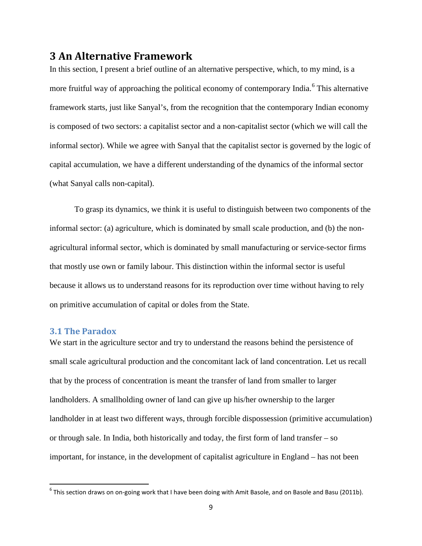### **3 An Alternative Framework**

In this section, I present a brief outline of an alternative perspective, which, to my mind, is a more fruitful way of approaching the political economy of contemporary India.<sup>[6](#page-9-0)</sup> This alternative framework starts, just like Sanyal's, from the recognition that the contemporary Indian economy is composed of two sectors: a capitalist sector and a non-capitalist sector (which we will call the informal sector). While we agree with Sanyal that the capitalist sector is governed by the logic of capital accumulation, we have a different understanding of the dynamics of the informal sector (what Sanyal calls non-capital).

To grasp its dynamics, we think it is useful to distinguish between two components of the informal sector: (a) agriculture, which is dominated by small scale production, and (b) the nonagricultural informal sector, which is dominated by small manufacturing or service-sector firms that mostly use own or family labour. This distinction within the informal sector is useful because it allows us to understand reasons for its reproduction over time without having to rely on primitive accumulation of capital or doles from the State.

#### **3.1 The Paradox**

We start in the agriculture sector and try to understand the reasons behind the persistence of small scale agricultural production and the concomitant lack of land concentration. Let us recall that by the process of concentration is meant the transfer of land from smaller to larger landholders. A smallholding owner of land can give up his/her ownership to the larger landholder in at least two different ways, through forcible dispossession (primitive accumulation) or through sale. In India, both historically and today, the first form of land transfer – so important, for instance, in the development of capitalist agriculture in England – has not been

<span id="page-9-0"></span> $6$  This section draws on on-going work that I have been doing with Amit Basole, and on Basole and Basu (2011b).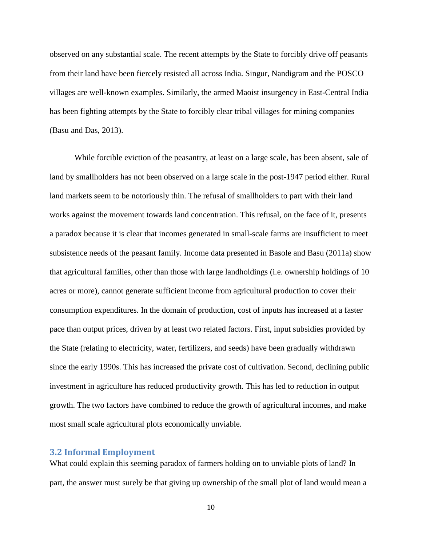observed on any substantial scale. The recent attempts by the State to forcibly drive off peasants from their land have been fiercely resisted all across India. Singur, Nandigram and the POSCO villages are well-known examples. Similarly, the armed Maoist insurgency in East-Central India has been fighting attempts by the State to forcibly clear tribal villages for mining companies (Basu and Das, 2013).

While forcible eviction of the peasantry, at least on a large scale, has been absent, sale of land by smallholders has not been observed on a large scale in the post-1947 period either. Rural land markets seem to be notoriously thin. The refusal of smallholders to part with their land works against the movement towards land concentration. This refusal, on the face of it, presents a paradox because it is clear that incomes generated in small-scale farms are insufficient to meet subsistence needs of the peasant family. Income data presented in Basole and Basu (2011a) show that agricultural families, other than those with large landholdings (i.e. ownership holdings of 10 acres or more), cannot generate sufficient income from agricultural production to cover their consumption expenditures. In the domain of production, cost of inputs has increased at a faster pace than output prices, driven by at least two related factors. First, input subsidies provided by the State (relating to electricity, water, fertilizers, and seeds) have been gradually withdrawn since the early 1990s. This has increased the private cost of cultivation. Second, declining public investment in agriculture has reduced productivity growth. This has led to reduction in output growth. The two factors have combined to reduce the growth of agricultural incomes, and make most small scale agricultural plots economically unviable.

#### **3.2 Informal Employment**

What could explain this seeming paradox of farmers holding on to unviable plots of land? In part, the answer must surely be that giving up ownership of the small plot of land would mean a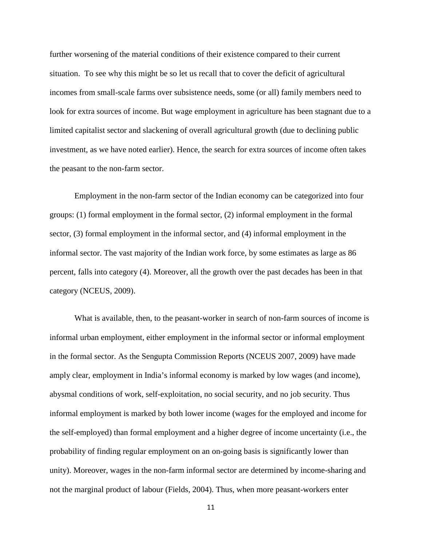further worsening of the material conditions of their existence compared to their current situation. To see why this might be so let us recall that to cover the deficit of agricultural incomes from small-scale farms over subsistence needs, some (or all) family members need to look for extra sources of income. But wage employment in agriculture has been stagnant due to a limited capitalist sector and slackening of overall agricultural growth (due to declining public investment, as we have noted earlier). Hence, the search for extra sources of income often takes the peasant to the non-farm sector.

Employment in the non-farm sector of the Indian economy can be categorized into four groups: (1) formal employment in the formal sector, (2) informal employment in the formal sector, (3) formal employment in the informal sector, and (4) informal employment in the informal sector. The vast majority of the Indian work force, by some estimates as large as 86 percent, falls into category (4). Moreover, all the growth over the past decades has been in that category (NCEUS, 2009).

What is available, then, to the peasant-worker in search of non-farm sources of income is informal urban employment, either employment in the informal sector or informal employment in the formal sector. As the Sengupta Commission Reports (NCEUS 2007, 2009) have made amply clear, employment in India's informal economy is marked by low wages (and income), abysmal conditions of work, self-exploitation, no social security, and no job security. Thus informal employment is marked by both lower income (wages for the employed and income for the self-employed) than formal employment and a higher degree of income uncertainty (i.e., the probability of finding regular employment on an on-going basis is significantly lower than unity). Moreover, wages in the non-farm informal sector are determined by income-sharing and not the marginal product of labour (Fields, 2004). Thus, when more peasant-workers enter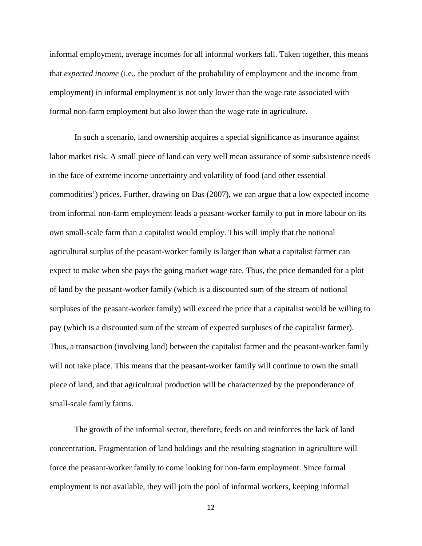informal employment, average incomes for all informal workers fall. Taken together, this means that *expected income* (i.e., the product of the probability of employment and the income from employment) in informal employment is not only lower than the wage rate associated with formal non-farm employment but also lower than the wage rate in agriculture.

In such a scenario, land ownership acquires a special significance as insurance against labor market risk. A small piece of land can very well mean assurance of some subsistence needs in the face of extreme income uncertainty and volatility of food (and other essential commodities') prices. Further, drawing on Das (2007), we can argue that a low expected income from informal non-farm employment leads a peasant-worker family to put in more labour on its own small-scale farm than a capitalist would employ. This will imply that the notional agricultural surplus of the peasant-worker family is larger than what a capitalist farmer can expect to make when she pays the going market wage rate. Thus, the price demanded for a plot of land by the peasant-worker family (which is a discounted sum of the stream of notional surpluses of the peasant-worker family) will exceed the price that a capitalist would be willing to pay (which is a discounted sum of the stream of expected surpluses of the capitalist farmer). Thus, a transaction (involving land) between the capitalist farmer and the peasant-worker family will not take place. This means that the peasant-worker family will continue to own the small piece of land, and that agricultural production will be characterized by the preponderance of small-scale family farms.

The growth of the informal sector, therefore, feeds on and reinforces the lack of land concentration. Fragmentation of land holdings and the resulting stagnation in agriculture will force the peasant-worker family to come looking for non-farm employment. Since formal employment is not available, they will join the pool of informal workers, keeping informal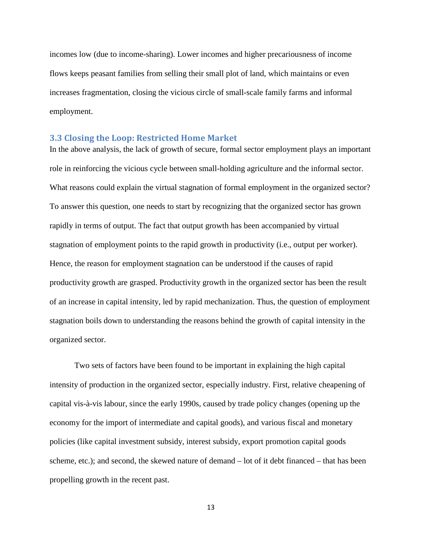incomes low (due to income-sharing). Lower incomes and higher precariousness of income flows keeps peasant families from selling their small plot of land, which maintains or even increases fragmentation, closing the vicious circle of small-scale family farms and informal employment.

#### **3.3 Closing the Loop: Restricted Home Market**

In the above analysis, the lack of growth of secure, formal sector employment plays an important role in reinforcing the vicious cycle between small-holding agriculture and the informal sector. What reasons could explain the virtual stagnation of formal employment in the organized sector? To answer this question, one needs to start by recognizing that the organized sector has grown rapidly in terms of output. The fact that output growth has been accompanied by virtual stagnation of employment points to the rapid growth in productivity (i.e., output per worker). Hence, the reason for employment stagnation can be understood if the causes of rapid productivity growth are grasped. Productivity growth in the organized sector has been the result of an increase in capital intensity, led by rapid mechanization. Thus, the question of employment stagnation boils down to understanding the reasons behind the growth of capital intensity in the organized sector.

Two sets of factors have been found to be important in explaining the high capital intensity of production in the organized sector, especially industry. First, relative cheapening of capital vis-à-vis labour, since the early 1990s, caused by trade policy changes (opening up the economy for the import of intermediate and capital goods), and various fiscal and monetary policies (like capital investment subsidy, interest subsidy, export promotion capital goods scheme, etc.); and second, the skewed nature of demand – lot of it debt financed – that has been propelling growth in the recent past.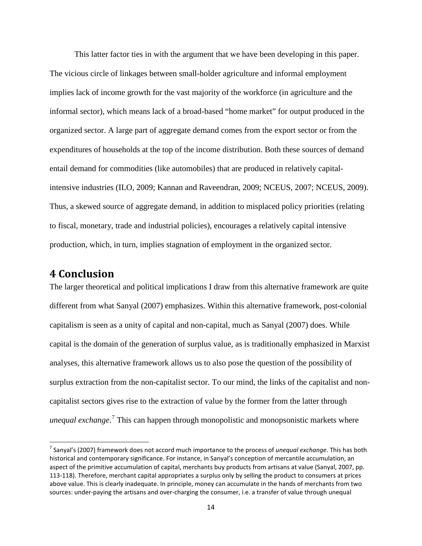This latter factor ties in with the argument that we have been developing in this paper. The vicious circle of linkages between small-holder agriculture and informal employment implies lack of income growth for the vast majority of the workforce (in agriculture and the informal sector), which means lack of a broad-based "home market" for output produced in the organized sector. A large part of aggregate demand comes from the export sector or from the expenditures of households at the top of the income distribution. Both these sources of demand entail demand for commodities (like automobiles) that are produced in relatively capitalintensive industries (ILO, 2009; Kannan and Raveendran, 2009; NCEUS, 2007; NCEUS, 2009). Thus, a skewed source of aggregate demand, in addition to misplaced policy priorities (relating to fiscal, monetary, trade and industrial policies), encourages a relatively capital intensive production, which, in turn, implies stagnation of employment in the organized sector.

## **4 Conclusion**

The larger theoretical and political implications I draw from this alternative framework are quite different from what Sanyal (2007) emphasizes. Within this alternative framework, post-colonial capitalism is seen as a unity of capital and non-capital, much as Sanyal (2007) does. While capital is the domain of the generation of surplus value, as is traditionally emphasized in Marxist analyses, this alternative framework allows us to also pose the question of the possibility of surplus extraction from the non-capitalist sector. To our mind, the links of the capitalist and noncapitalist sectors gives rise to the extraction of value by the former from the latter through *unequal exchange*. [7](#page-14-0) This can happen through monopolistic and monopsonistic markets where

<span id="page-14-0"></span> <sup>7</sup> Sanyal's (2007) framework does not accord much importance to the process of *unequal exchange*. This has both historical and contemporary significance. For instance, in Sanyal's conception of mercantile accumulation, an aspect of the primitive accumulation of capital, merchants buy products from artisans at value (Sanyal, 2007, pp. 113-118). Therefore, merchant capital appropriates a surplus only by selling the product to consumers at prices above value. This is clearly inadequate. In principle, money can accumulate in the hands of merchants from two sources: under-paying the artisans and over-charging the consumer, i.e. a transfer of value through unequal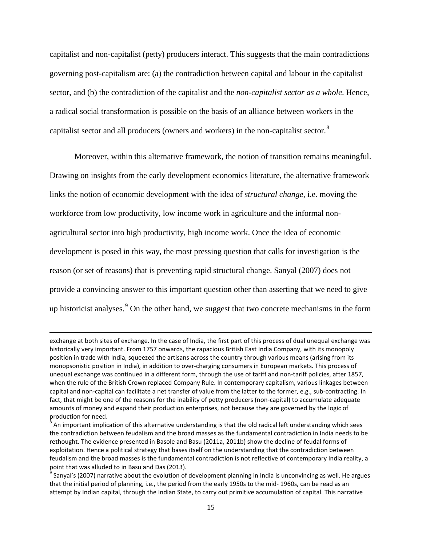capitalist and non-capitalist (petty) producers interact. This suggests that the main contradictions governing post-capitalism are: (a) the contradiction between capital and labour in the capitalist sector, and (b) the contradiction of the capitalist and the *non-capitalist sector as a whole*. Hence, a radical social transformation is possible on the basis of an alliance between workers in the capitalist sector and all producers (owners and workers) in the non-capitalist sector.<sup>[8](#page-15-0)</sup>

Moreover, within this alternative framework, the notion of transition remains meaningful. Drawing on insights from the early development economics literature, the alternative framework links the notion of economic development with the idea of *structural change*, i.e. moving the workforce from low productivity, low income work in agriculture and the informal nonagricultural sector into high productivity, high income work. Once the idea of economic development is posed in this way, the most pressing question that calls for investigation is the reason (or set of reasons) that is preventing rapid structural change. Sanyal (2007) does not provide a convincing answer to this important question other than asserting that we need to give up historicist analyses.<sup>[9](#page-15-1)</sup> On the other hand, we suggest that two concrete mechanisms in the form

l

exchange at both sites of exchange. In the case of India, the first part of this process of dual unequal exchange was historically very important. From 1757 onwards, the rapacious British East India Company, with its monopoly position in trade with India, squeezed the artisans across the country through various means (arising from its monopsonistic position in India), in addition to over-charging consumers in European markets. This process of unequal exchange was continued in a different form, through the use of tariff and non-tariff policies, after 1857, when the rule of the British Crown replaced Company Rule. In contemporary capitalism, various linkages between capital and non-capital can facilitate a net transfer of value from the latter to the former, e.g., sub-contracting. In fact, that might be one of the reasons for the inability of petty producers (non-capital) to accumulate adequate amounts of money and expand their production enterprises, not because they are governed by the logic of production for need.

<span id="page-15-0"></span><sup>8</sup> An important implication of this alternative understanding is that the old radical left understanding which sees the contradiction between feudalism and the broad masses as the fundamental contradiction in India needs to be rethought. The evidence presented in Basole and Basu (2011a, 2011b) show the decline of feudal forms of exploitation. Hence a political strategy that bases itself on the understanding that the contradiction between feudalism and the broad masses is the fundamental contradiction is not reflective of contemporary India reality, a point that was alluded to in Basu and Das (2013).

<span id="page-15-1"></span> $9$  Sanyal's (2007) narrative about the evolution of development planning in India is unconvincing as well. He argues that the initial period of planning, i.e., the period from the early 1950s to the mid- 1960s, can be read as an attempt by Indian capital, through the Indian State, to carry out primitive accumulation of capital. This narrative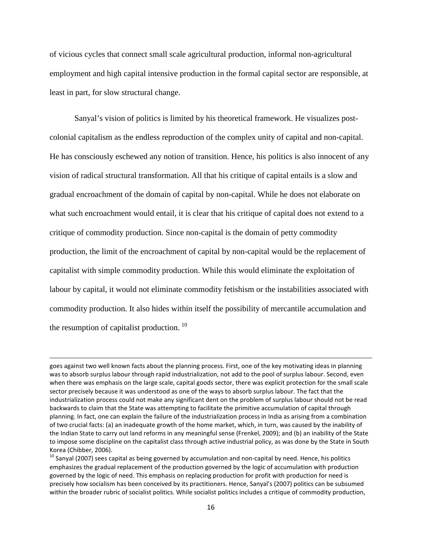of vicious cycles that connect small scale agricultural production, informal non-agricultural employment and high capital intensive production in the formal capital sector are responsible, at least in part, for slow structural change.

Sanyal's vision of politics is limited by his theoretical framework. He visualizes postcolonial capitalism as the endless reproduction of the complex unity of capital and non-capital. He has consciously eschewed any notion of transition. Hence, his politics is also innocent of any vision of radical structural transformation. All that his critique of capital entails is a slow and gradual encroachment of the domain of capital by non-capital. While he does not elaborate on what such encroachment would entail, it is clear that his critique of capital does not extend to a critique of commodity production. Since non-capital is the domain of petty commodity production, the limit of the encroachment of capital by non-capital would be the replacement of capitalist with simple commodity production. While this would eliminate the exploitation of labour by capital, it would not eliminate commodity fetishism or the instabilities associated with commodity production. It also hides within itself the possibility of mercantile accumulation and the resumption of capitalist production.  $^{10}$ 

 $\overline{\phantom{a}}$ 

goes against two well known facts about the planning process. First, one of the key motivating ideas in planning was to absorb surplus labour through rapid industrialization, not add to the pool of surplus labour. Second, even when there was emphasis on the large scale, capital goods sector, there was explicit protection for the small scale sector precisely because it was understood as one of the ways to absorb surplus labour. The fact that the industrialization process could not make any significant dent on the problem of surplus labour should not be read backwards to claim that the State was attempting to facilitate the primitive accumulation of capital through planning. In fact, one can explain the failure of the industrialization process in India as arising from a combination of two crucial facts: (a) an inadequate growth of the home market, which, in turn, was caused by the inability of the Indian State to carry out land reforms in any meaningful sense (Frenkel, 2009); and (b) an inability of the State to impose some discipline on the capitalist class through active industrial policy, as was done by the State in South Korea (Chibber, 2006).

<span id="page-16-0"></span><sup>&</sup>lt;sup>10</sup> Sanyal (2007) sees capital as being governed by accumulation and non-capital by need. Hence, his politics emphasizes the gradual replacement of the production governed by the logic of accumulation with production governed by the logic of need. This emphasis on replacing production for profit with production for need is precisely how socialism has been conceived by its practitioners. Hence, Sanyal's (2007) politics can be subsumed within the broader rubric of socialist politics. While socialist politics includes a critique of commodity production,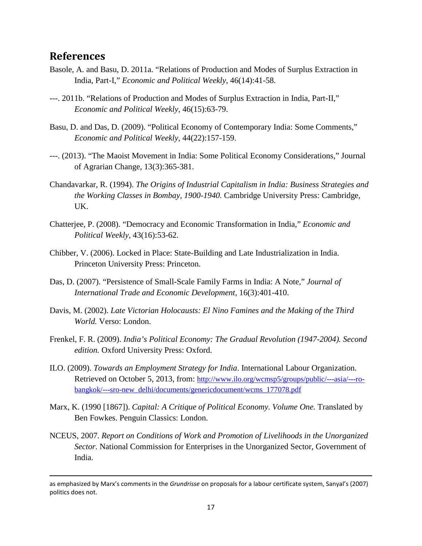## **References**

 $\overline{\phantom{a}}$ 

- Basole, A. and Basu, D. 2011a. "Relations of Production and Modes of Surplus Extraction in India, Part-I," *Economic and Political Weekly*, 46(14):41-58.
- ---. 2011b. "Relations of Production and Modes of Surplus Extraction in India, Part-II," *Economic and Political Weekly*, 46(15):63-79.
- Basu, D. and Das, D. (2009). "Political Economy of Contemporary India: Some Comments," *Economic and Political Weekly*, 44(22):157-159.
- ---. (2013). "The Maoist Movement in India: Some Political Economy Considerations," Journal of Agrarian Change, 13(3):365-381.
- Chandavarkar, R. (1994). *The Origins of Industrial Capitalism in India: Business Strategies and the Working Classes in Bombay, 1900-1940.* Cambridge University Press: Cambridge, UK.
- Chatterjee, P. (2008). "Democracy and Economic Transformation in India," *Economic and Political Weekly*, 43(16):53-62.
- Chibber, V. (2006). Locked in Place: State-Building and Late Industrialization in India. Princeton University Press: Princeton.
- Das, D. (2007). "Persistence of Small-Scale Family Farms in India: A Note," *Journal of International Trade and Economic Development*, 16(3):401-410.
- Davis, M. (2002). *Late Victorian Holocausts: El Nino Famines and the Making of the Third World.* Verso: London.
- Frenkel, F. R. (2009). *India's Political Economy: The Gradual Revolution (1947-2004). Second edition.* Oxford University Press: Oxford.
- ILO. (2009). *Towards an Employment Strategy for India*. International Labour Organization. Retrieved on October 5, 2013, from: [http://www.ilo.org/wcmsp5/groups/public/---asia/---ro](http://www.ilo.org/wcmsp5/groups/public/---asia/---ro-bangkok/---sro-new_delhi/documents/genericdocument/wcms_177078.pdf)[bangkok/---sro-new\\_delhi/documents/genericdocument/wcms\\_177078.pdf](http://www.ilo.org/wcmsp5/groups/public/---asia/---ro-bangkok/---sro-new_delhi/documents/genericdocument/wcms_177078.pdf)
- Marx, K. (1990 [1867]). *Capital: A Critique of Political Economy. Volume One.* Translated by Ben Fowkes. Penguin Classics: London.
- NCEUS, 2007. *Report on Conditions of Work and Promotion of Livelihoods in the Unorganized Sector.* National Commission for Enterprises in the Unorganized Sector, Government of India.

as emphasized by Marx's comments in the *Grundrisse* on proposals for a labour certificate system, Sanyal's (2007) politics does not.